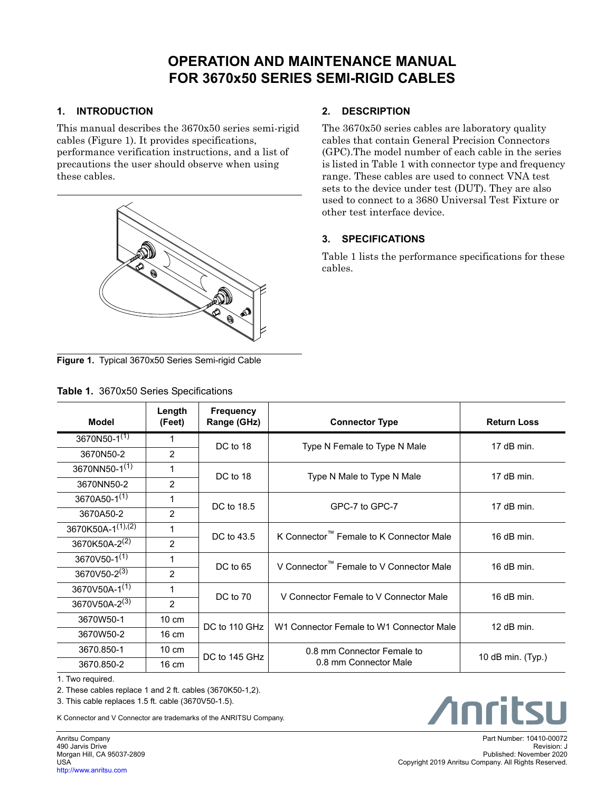# **OPERATION AND MAINTENANCE MANUAL FOR 3670x50 SERIES SEMI-RIGID CABLES**

### **1. INTRODUCTION**

This manual describes the 3670x50 series semi-rigid cables (Figure 1). It provides specifications, performance verification instructions, and a list of precautions the user should observe when using these cables.



# **2. DESCRIPTION**

The 3670x50 series cables are laboratory quality cables that contain General Precision Connectors (GPC).The model number of each cable in the series is listed in Table 1 with connector type and frequency range. These cables are used to connect VNA test sets to the device under test (DUT). They are also used to connect to a 3680 Universal Test Fixture or other test interface device.

## **3. SPECIFICATIONS**

Table 1 lists the performance specifications for these cables.

**Figure 1.** Typical 3670x50 Series Semi-rigid Cable

|  | Table 1. 3670x50 Series Specifications |
|--|----------------------------------------|
|  |                                        |

| Model                         | Length<br>(Feet) | <b>Frequency</b><br>Range (GHz) | <b>Connector Type</b>                               | <b>Return Loss</b> |
|-------------------------------|------------------|---------------------------------|-----------------------------------------------------|--------------------|
| 3670N50- $1^{(1)}$            | 1                | DC to 18                        | Type N Female to Type N Male                        | 17 $dB$ min.       |
| 3670N50-2                     | $\overline{2}$   |                                 |                                                     |                    |
| 3670NN50-1(1)                 | 1                | DC to 18                        |                                                     | 17 $dB$ min.       |
| 3670NN50-2                    | $\overline{2}$   |                                 | Type N Male to Type N Male                          |                    |
| 3670A50-1 <sup>(1)</sup>      |                  | DC to 18.5                      | GPC-7 to GPC-7                                      | 17 $dB$ min.       |
| 3670A50-2                     | $\overline{2}$   |                                 |                                                     |                    |
| 3670K50A-1 <sup>(1),(2)</sup> | 1                | DC to 43.5                      | K Connector <sup>™</sup> Female to K Connector Male | 16 $dB$ min.       |
| 3670K50A-2 <sup>(2)</sup>     | $\overline{2}$   |                                 |                                                     |                    |
| 3670V50-1 <sup>(1)</sup>      | 1                | DC to 65                        | V Connector <sup>™</sup> Female to V Connector Male | 16 $dB$ min.       |
| 3670V50-2(3)                  | $\overline{2}$   |                                 |                                                     |                    |
| 3670V50A-1(1)                 | 1                | DC to 70                        | V Connector Female to V Connector Male              | 16 $dB$ min.       |
| 3670V50A-2(3)                 | $\overline{2}$   |                                 |                                                     |                    |
| 3670W50-1                     | $10 \text{ cm}$  | DC to 110 GHz                   | W1 Connector Female to W1 Connector Male            | $12$ dB min.       |
| 3670W50-2                     | $16 \text{ cm}$  |                                 |                                                     |                    |
| 3670.850-1                    | $10 \text{ cm}$  | DC to 145 GHz                   | 0.8 mm Connector Female to                          | 10 dB min. (Typ.)  |
| 3670.850-2                    | $16 \text{ cm}$  |                                 | 0.8 mm Connector Male                               |                    |

1. Two required.

2. These cables replace 1 and 2 ft. cables (3670K50-1,2).

3. This cable replaces 1.5 ft. cable (3670V50-1.5).

K Connector and V Connector are trademarks of the ANRITSU Company.

Anritsu Company 490 Jarvis Drive Morgan Hill, CA 95037-2809 USA [http://www.anritsu.com](http://www.anritsu.com/)

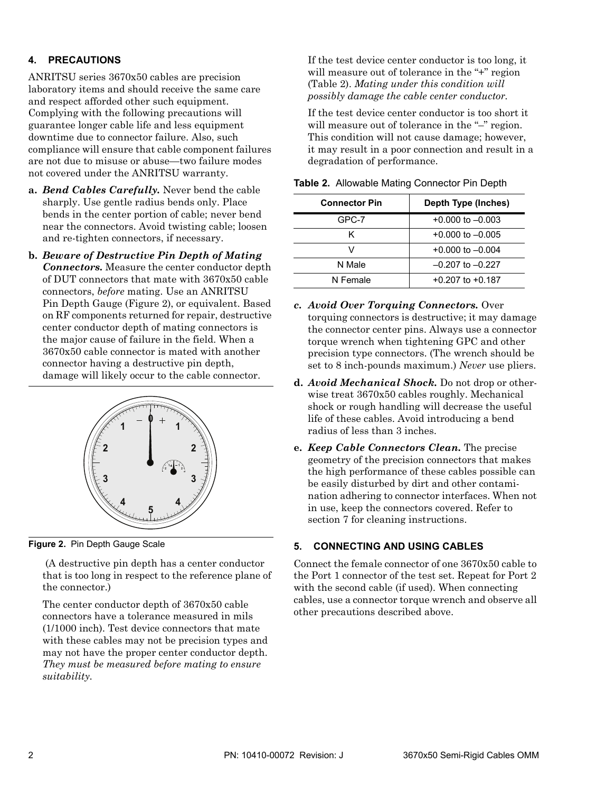#### **4. PRECAUTIONS**

ANRITSU series 3670x50 cables are precision laboratory items and should receive the same care and respect afforded other such equipment. Complying with the following precautions will guarantee longer cable life and less equipment downtime due to connector failure. Also, such compliance will ensure that cable component failures are not due to misuse or abuse—two failure modes not covered under the ANRITSU warranty.

- **a.** *Bend Cables Carefully.* Never bend the cable sharply. Use gentle radius bends only. Place bends in the center portion of cable; never bend near the connectors. Avoid twisting cable; loosen and re-tighten connectors, if necessary.
- **b.** *Beware of Destructive Pin Depth of Mating Connectors.* Measure the center conductor depth of DUT connectors that mate with 3670x50 cable connectors, *before* mating. Use an ANRITSU Pin Depth Gauge (Figure 2), or equivalent. Based on RF components returned for repair, destructive center conductor depth of mating connectors is the major cause of failure in the field. When a 3670x50 cable connector is mated with another connector having a destructive pin depth, damage will likely occur to the cable connector.



**Figure 2.** Pin Depth Gauge Scale

 (A destructive pin depth has a center conductor that is too long in respect to the reference plane of the connector.)

The center conductor depth of 3670x50 cable connectors have a tolerance measured in mils (1/1000 inch). Test device connectors that mate with these cables may not be precision types and may not have the proper center conductor depth. *They must be measured before mating to ensure suitability.*

If the test device center conductor is too long, it will measure out of tolerance in the "+" region (Table 2). *Mating under this condition will possibly damage the cable center conductor.*

If the test device center conductor is too short it will measure out of tolerance in the "-" region. This condition will not cause damage; however, it may result in a poor connection and result in a degradation of performance.

| <b>Connector Pin</b> | <b>Depth Type (Inches)</b> |  |
|----------------------|----------------------------|--|
| GPC-7                | $+0.000$ to $-0.003$       |  |
| κ                    | $+0.000$ to $-0.005$       |  |
| v                    | $+0.000$ to $-0.004$       |  |
| N Male               | $-0.207$ to $-0.227$       |  |
| N Female             | $+0.207$ to $+0.187$       |  |

**Table 2.** Allowable Mating Connector Pin Depth

- *c. Avoid Over Torquing Connectors.* Over torquing connectors is destructive; it may damage the connector center pins. Always use a connector torque wrench when tightening GPC and other precision type connectors. (The wrench should be set to 8 inch-pounds maximum.) *Never* use pliers.
- **d.** *Avoid Mechanical Shock.* Do not drop or otherwise treat 3670x50 cables roughly. Mechanical shock or rough handling will decrease the useful life of these cables. Avoid introducing a bend radius of less than 3 inches.
- **e.** *Keep Cable Connectors Clean.* The precise geometry of the precision connectors that makes the high performance of these cables possible can be easily disturbed by dirt and other contamination adhering to connector interfaces. When not in use, keep the connectors covered. Refer to section 7 for cleaning instructions.

#### **5. CONNECTING AND USING CABLES**

Connect the female connector of one 3670x50 cable to the Port 1 connector of the test set. Repeat for Port 2 with the second cable (if used). When connecting cables, use a connector torque wrench and observe all other precautions described above.